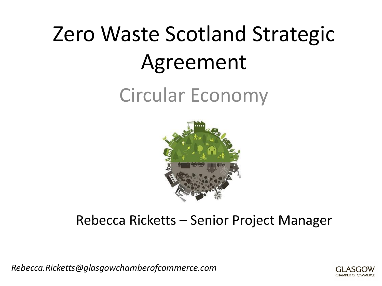# Zero Waste Scotland Strategic Agreement

### Circular Economy



### Rebecca Ricketts – Senior Project Manager

*Rebecca.Ricketts@glasgowchamberofcommerce.com*

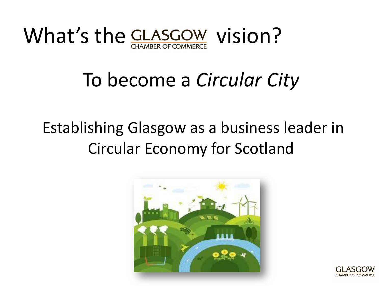

### To become a *Circular City*

Establishing Glasgow as a business leader in Circular Economy for Scotland



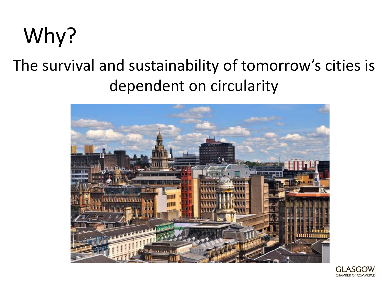## Why?

### The survival and sustainability of tomorrow's cities is dependent on circularity



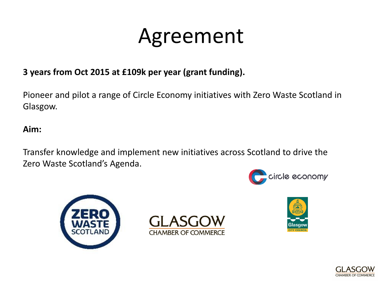### Agreement

#### **3 years from Oct 2015 at £109k per year (grant funding).**

Pioneer and pilot a range of Circle Economy initiatives with Zero Waste Scotland in Glasgow.

#### **Aim:**

Transfer knowledge and implement new initiatives across Scotland to drive the Zero Waste Scotland's Agenda.









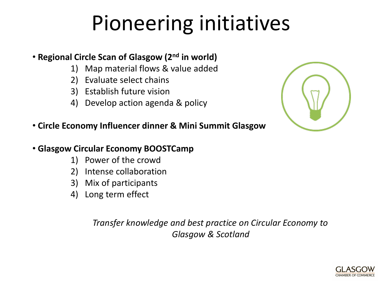## Pioneering initiatives

#### • **Regional Circle Scan of Glasgow (2nd in world)**

- 1) Map material flows & value added
- 2) Evaluate select chains
- 3) Establish future vision
- 4) Develop action agenda & policy



#### • **Circle Economy Influencer dinner & Mini Summit Glasgow**

#### • **Glasgow Circular Economy BOOSTCamp**

- 1) Power of the crowd
- 2) Intense collaboration
- 3) Mix of participants
- 4) Long term effect

*Transfer knowledge and best practice on Circular Economy to Glasgow & Scotland*

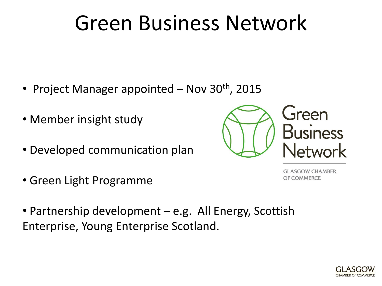### Green Business Network

- Project Manager appointed  $-$  Nov 30<sup>th</sup>, 2015
- Member insight study
- Developed communication plan



• Green Light Programme

**GLASGOW CHAMBER** OF COMMERCE

• Partnership development – e.g. All Energy, Scottish Enterprise, Young Enterprise Scotland.

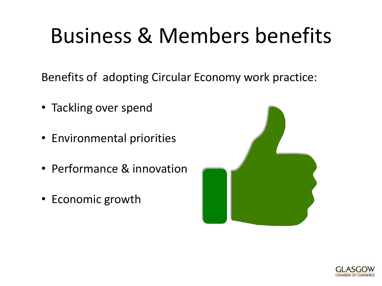## Business & Members benefits

Benefits of adopting Circular Economy work practice:

- Tackling over spend
- Environmental priorities
- Performance & innovation
- Economic growth